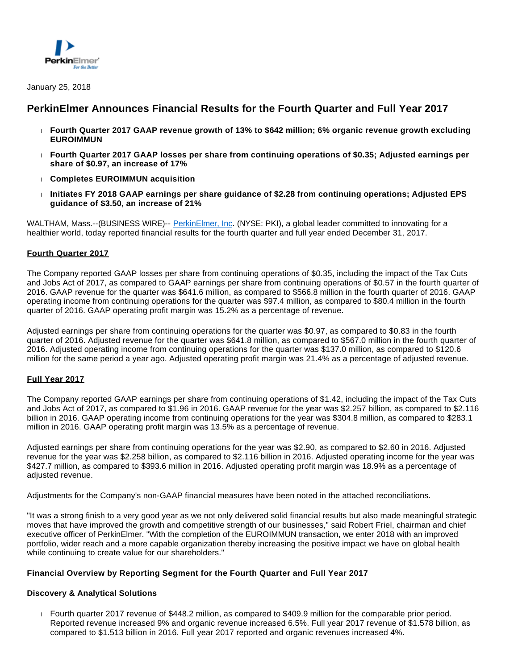

# **PerkinElmer Announces Financial Results for the Fourth Quarter and Full Year 2017**

- **Fourth Quarter 2017 GAAP revenue growth of 13% to \$642 million; 6% organic revenue growth excluding EUROIMMUN**
- **Fourth Quarter 2017 GAAP losses per share from continuing operations of \$0.35; Adjusted earnings per share of \$0.97, an increase of 17%**
- **Completes EUROIMMUN acquisition**
- **Initiates FY 2018 GAAP earnings per share guidance of \$2.28 from continuing operations; Adjusted EPS guidance of \$3.50, an increase of 21%**

WALTHAM, Mass.--(BUSINESS WIRE)-- [PerkinElmer, Inc.](http://cts.businesswire.com/ct/CT?id=smartlink&url=http%3A%2F%2Fwww.perkinelmer.com%2F&esheet=51748895&newsitemid=20180125006207&lan=en-US&anchor=PerkinElmer%2C+Inc&index=1&md5=1fbd3c76eab0ba0db98a36c7ad4a1978) (NYSE: PKI), a global leader committed to innovating for a healthier world, today reported financial results for the fourth quarter and full year ended December 31, 2017.

## **Fourth Quarter 2017**

The Company reported GAAP losses per share from continuing operations of \$0.35, including the impact of the Tax Cuts and Jobs Act of 2017, as compared to GAAP earnings per share from continuing operations of \$0.57 in the fourth quarter of 2016. GAAP revenue for the quarter was \$641.6 million, as compared to \$566.8 million in the fourth quarter of 2016. GAAP operating income from continuing operations for the quarter was \$97.4 million, as compared to \$80.4 million in the fourth quarter of 2016. GAAP operating profit margin was 15.2% as a percentage of revenue.

Adjusted earnings per share from continuing operations for the quarter was \$0.97, as compared to \$0.83 in the fourth quarter of 2016. Adjusted revenue for the quarter was \$641.8 million, as compared to \$567.0 million in the fourth quarter of 2016. Adjusted operating income from continuing operations for the quarter was \$137.0 million, as compared to \$120.6 million for the same period a year ago. Adjusted operating profit margin was 21.4% as a percentage of adjusted revenue.

## **Full Year 2017**

The Company reported GAAP earnings per share from continuing operations of \$1.42, including the impact of the Tax Cuts and Jobs Act of 2017, as compared to \$1.96 in 2016. GAAP revenue for the year was \$2.257 billion, as compared to \$2.116 billion in 2016. GAAP operating income from continuing operations for the year was \$304.8 million, as compared to \$283.1 million in 2016. GAAP operating profit margin was 13.5% as a percentage of revenue.

Adjusted earnings per share from continuing operations for the year was \$2.90, as compared to \$2.60 in 2016. Adjusted revenue for the year was \$2.258 billion, as compared to \$2.116 billion in 2016. Adjusted operating income for the year was \$427.7 million, as compared to \$393.6 million in 2016. Adjusted operating profit margin was 18.9% as a percentage of adjusted revenue.

Adjustments for the Company's non-GAAP financial measures have been noted in the attached reconciliations.

"It was a strong finish to a very good year as we not only delivered solid financial results but also made meaningful strategic moves that have improved the growth and competitive strength of our businesses," said Robert Friel, chairman and chief executive officer of PerkinElmer. "With the completion of the EUROIMMUN transaction, we enter 2018 with an improved portfolio, wider reach and a more capable organization thereby increasing the positive impact we have on global health while continuing to create value for our shareholders."

## **Financial Overview by Reporting Segment for the Fourth Quarter and Full Year 2017**

## **Discovery & Analytical Solutions**

 Fourth quarter 2017 revenue of \$448.2 million, as compared to \$409.9 million for the comparable prior period. Reported revenue increased 9% and organic revenue increased 6.5%. Full year 2017 revenue of \$1.578 billion, as compared to \$1.513 billion in 2016. Full year 2017 reported and organic revenues increased 4%.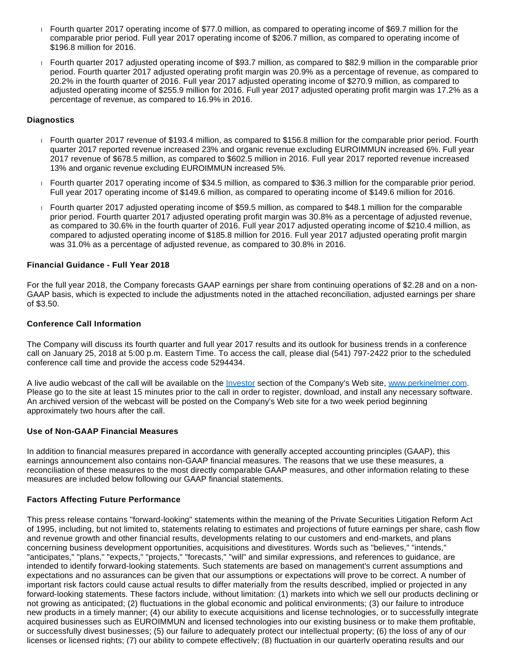- Fourth quarter 2017 operating income of \$77.0 million, as compared to operating income of \$69.7 million for the comparable prior period. Full year 2017 operating income of \$206.7 million, as compared to operating income of \$196.8 million for 2016.
- Fourth quarter 2017 adjusted operating income of \$93.7 million, as compared to \$82.9 million in the comparable prior period. Fourth quarter 2017 adjusted operating profit margin was 20.9% as a percentage of revenue, as compared to 20.2% in the fourth quarter of 2016. Full year 2017 adjusted operating income of \$270.9 million, as compared to adjusted operating income of \$255.9 million for 2016. Full year 2017 adjusted operating profit margin was 17.2% as a percentage of revenue, as compared to 16.9% in 2016.

#### **Diagnostics**

- Fourth quarter 2017 revenue of \$193.4 million, as compared to \$156.8 million for the comparable prior period. Fourth quarter 2017 reported revenue increased 23% and organic revenue excluding EUROIMMUN increased 6%. Full year 2017 revenue of \$678.5 million, as compared to \$602.5 million in 2016. Full year 2017 reported revenue increased 13% and organic revenue excluding EUROIMMUN increased 5%.
- Fourth quarter 2017 operating income of \$34.5 million, as compared to \$36.3 million for the comparable prior period. Full year 2017 operating income of \$149.6 million, as compared to operating income of \$149.6 million for 2016.
- Fourth quarter 2017 adjusted operating income of \$59.5 million, as compared to \$48.1 million for the comparable prior period. Fourth quarter 2017 adjusted operating profit margin was 30.8% as a percentage of adjusted revenue, as compared to 30.6% in the fourth quarter of 2016. Full year 2017 adjusted operating income of \$210.4 million, as compared to adjusted operating income of \$185.8 million for 2016. Full year 2017 adjusted operating profit margin was 31.0% as a percentage of adjusted revenue, as compared to 30.8% in 2016.

#### **Financial Guidance - Full Year 2018**

For the full year 2018, the Company forecasts GAAP earnings per share from continuing operations of \$2.28 and on a non-GAAP basis, which is expected to include the adjustments noted in the attached reconciliation, adjusted earnings per share of \$3.50.

#### **Conference Call Information**

The Company will discuss its fourth quarter and full year 2017 results and its outlook for business trends in a conference call on January 25, 2018 at 5:00 p.m. Eastern Time. To access the call, please dial (541) 797-2422 prior to the scheduled conference call time and provide the access code 5294434.

A live audio webcast of the call will be available on the [Investor](http://cts.businesswire.com/ct/CT?id=smartlink&url=http%3A%2F%2Fwww.perkinelmer.com%2Fcorporate%2Finvestors%2F&esheet=51748895&newsitemid=20180125006207&lan=en-US&anchor=Investor&index=2&md5=1686596b228c62d1194150a5558513d2) section of the Company's Web site, [www.perkinelmer.com](http://cts.businesswire.com/ct/CT?id=smartlink&url=http%3A%2F%2Fwww.perkinelmer.com&esheet=51748895&newsitemid=20180125006207&lan=en-US&anchor=www.perkinelmer.com&index=3&md5=3e79b88b78e15500ae2a0f3617a292a7). Please go to the site at least 15 minutes prior to the call in order to register, download, and install any necessary software. An archived version of the webcast will be posted on the Company's Web site for a two week period beginning approximately two hours after the call.

#### **Use of Non-GAAP Financial Measures**

In addition to financial measures prepared in accordance with generally accepted accounting principles (GAAP), this earnings announcement also contains non-GAAP financial measures. The reasons that we use these measures, a reconciliation of these measures to the most directly comparable GAAP measures, and other information relating to these measures are included below following our GAAP financial statements.

## **Factors Affecting Future Performance**

This press release contains "forward-looking" statements within the meaning of the Private Securities Litigation Reform Act of 1995, including, but not limited to, statements relating to estimates and projections of future earnings per share, cash flow and revenue growth and other financial results, developments relating to our customers and end-markets, and plans concerning business development opportunities, acquisitions and divestitures. Words such as "believes," "intends," "anticipates," "plans," "expects," "projects," "forecasts," "will" and similar expressions, and references to guidance, are intended to identify forward-looking statements. Such statements are based on management's current assumptions and expectations and no assurances can be given that our assumptions or expectations will prove to be correct. A number of important risk factors could cause actual results to differ materially from the results described, implied or projected in any forward-looking statements. These factors include, without limitation: (1) markets into which we sell our products declining or not growing as anticipated; (2) fluctuations in the global economic and political environments; (3) our failure to introduce new products in a timely manner; (4) our ability to execute acquisitions and license technologies, or to successfully integrate acquired businesses such as EUROIMMUN and licensed technologies into our existing business or to make them profitable, or successfully divest businesses; (5) our failure to adequately protect our intellectual property; (6) the loss of any of our licenses or licensed rights; (7) our ability to compete effectively; (8) fluctuation in our quarterly operating results and our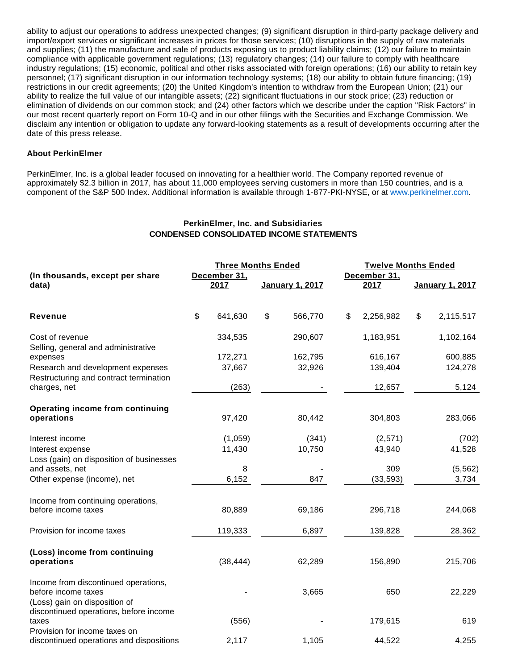ability to adjust our operations to address unexpected changes; (9) significant disruption in third-party package delivery and import/export services or significant increases in prices for those services; (10) disruptions in the supply of raw materials and supplies; (11) the manufacture and sale of products exposing us to product liability claims; (12) our failure to maintain compliance with applicable government regulations; (13) regulatory changes; (14) our failure to comply with healthcare industry regulations; (15) economic, political and other risks associated with foreign operations; (16) our ability to retain key personnel; (17) significant disruption in our information technology systems; (18) our ability to obtain future financing; (19) restrictions in our credit agreements; (20) the United Kingdom's intention to withdraw from the European Union; (21) our ability to realize the full value of our intangible assets; (22) significant fluctuations in our stock price; (23) reduction or elimination of dividends on our common stock; and (24) other factors which we describe under the caption "Risk Factors" in our most recent quarterly report on Form 10-Q and in our other filings with the Securities and Exchange Commission. We disclaim any intention or obligation to update any forward-looking statements as a result of developments occurring after the date of this press release.

#### **About PerkinElmer**

PerkinElmer, Inc. is a global leader focused on innovating for a healthier world. The Company reported revenue of approximately \$2.3 billion in 2017, has about 11,000 employees serving customers in more than 150 countries, and is a component of the S&P 500 Index. Additional information is available through 1-877-PKI-NYSE, or at [www.perkinelmer.com](http://cts.businesswire.com/ct/CT?id=smartlink&url=http%3A%2F%2Fwww.perkinelmer.com&esheet=51748895&newsitemid=20180125006207&lan=en-US&anchor=www.perkinelmer.com&index=4&md5=39e0b3027fd8b1a809da16ecfcd54aa9).

## **PerkinElmer, Inc. and Subsidiaries CONDENSED CONSOLIDATED INCOME STATEMENTS**

|                                                                         | <b>Three Months Ended</b> |                      |                        |                   |    | <b>Twelve Months Ended</b> |    |                    |  |
|-------------------------------------------------------------------------|---------------------------|----------------------|------------------------|-------------------|----|----------------------------|----|--------------------|--|
| (In thousands, except per share<br>data)                                |                           | December 31.<br>2017 | <b>January 1, 2017</b> |                   |    | December 31.<br>2017       |    | January 1, 2017    |  |
| <b>Revenue</b>                                                          | \$                        | 641,630              | \$                     | 566,770           | \$ | 2,256,982                  | \$ | 2,115,517          |  |
| Cost of revenue                                                         |                           | 334,535              |                        | 290,607           |    | 1,183,951                  |    | 1,102,164          |  |
| Selling, general and administrative                                     |                           |                      |                        |                   |    |                            |    |                    |  |
| expenses<br>Research and development expenses                           |                           | 172,271<br>37,667    |                        | 162,795<br>32,926 |    | 616,167<br>139,404         |    | 600,885<br>124,278 |  |
| Restructuring and contract termination                                  |                           |                      |                        |                   |    |                            |    |                    |  |
| charges, net                                                            |                           | (263)                |                        |                   |    | 12,657                     |    | 5,124              |  |
| <b>Operating income from continuing</b>                                 |                           |                      |                        |                   |    |                            |    |                    |  |
| operations                                                              |                           | 97,420               |                        | 80,442            |    | 304,803                    |    | 283,066            |  |
| Interest income                                                         |                           | (1,059)              |                        | (341)             |    | (2,571)                    |    | (702)              |  |
| Interest expense                                                        |                           | 11,430               |                        | 10,750            |    | 43,940                     |    | 41,528             |  |
| Loss (gain) on disposition of businesses<br>and assets, net             |                           | 8                    |                        |                   |    | 309                        |    | (5, 562)           |  |
| Other expense (income), net                                             |                           | 6,152                |                        | 847               |    | (33, 593)                  |    | 3,734              |  |
| Income from continuing operations,                                      |                           |                      |                        |                   |    |                            |    |                    |  |
| before income taxes                                                     |                           | 80,889               |                        | 69,186            |    | 296,718                    |    | 244,068            |  |
| Provision for income taxes                                              |                           | 119,333              |                        | 6,897             |    | 139,828                    |    | 28,362             |  |
| (Loss) income from continuing                                           |                           |                      |                        |                   |    |                            |    |                    |  |
| operations                                                              |                           | (38, 444)            |                        | 62,289            |    | 156,890                    |    | 215,706            |  |
| Income from discontinued operations,                                    |                           |                      |                        |                   |    |                            |    |                    |  |
| before income taxes                                                     |                           |                      |                        | 3,665             |    | 650                        |    | 22,229             |  |
| (Loss) gain on disposition of<br>discontinued operations, before income |                           |                      |                        |                   |    |                            |    |                    |  |
| taxes                                                                   |                           | (556)                |                        |                   |    | 179,615                    |    | 619                |  |
| Provision for income taxes on                                           |                           |                      |                        |                   |    |                            |    |                    |  |
| discontinued operations and dispositions                                |                           | 2,117                |                        | 1,105             |    | 44,522                     |    | 4,255              |  |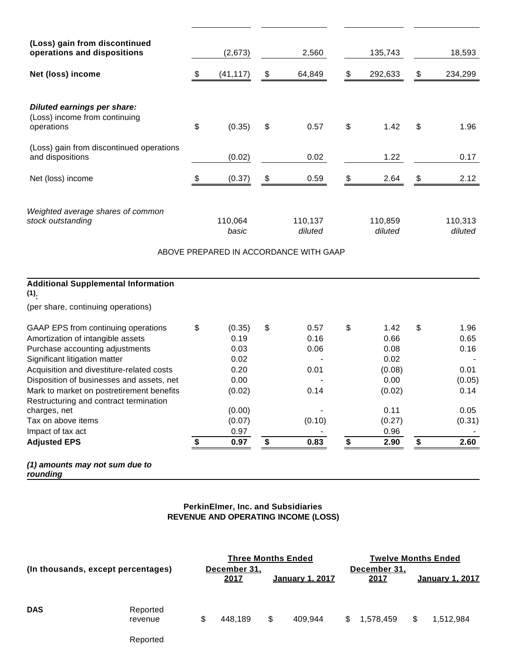| (Loss) gain from discontinued<br>operations and dispositions                                                                                                                                                                                                                                                                                                        |                   | (2,673)                                                                      | 2,560                                                        |                                           | 135,743                                                                    | 18,593                                                                 |
|---------------------------------------------------------------------------------------------------------------------------------------------------------------------------------------------------------------------------------------------------------------------------------------------------------------------------------------------------------------------|-------------------|------------------------------------------------------------------------------|--------------------------------------------------------------|-------------------------------------------|----------------------------------------------------------------------------|------------------------------------------------------------------------|
| Net (loss) income                                                                                                                                                                                                                                                                                                                                                   | $\boldsymbol{\$}$ | (41, 117)                                                                    | \$<br>64,849                                                 | \$                                        | 292,633                                                                    | \$<br>234,299                                                          |
| <b>Diluted earnings per share:</b><br>(Loss) income from continuing<br>operations                                                                                                                                                                                                                                                                                   | \$                | (0.35)                                                                       | \$<br>0.57                                                   | \$                                        | 1.42                                                                       | \$<br>1.96                                                             |
| (Loss) gain from discontinued operations<br>and dispositions                                                                                                                                                                                                                                                                                                        |                   | (0.02)                                                                       | 0.02                                                         |                                           | 1.22                                                                       | 0.17                                                                   |
| Net (loss) income                                                                                                                                                                                                                                                                                                                                                   | \$                | (0.37)                                                                       | \$<br>0.59                                                   | $\, \, \raisebox{12pt}{$\scriptstyle \$}$ | 2.64                                                                       | \$<br>2.12                                                             |
| Weighted average shares of common<br>stock outstanding                                                                                                                                                                                                                                                                                                              |                   | 110,064<br>basic                                                             | 110,137<br>diluted<br>ABOVE PREPARED IN ACCORDANCE WITH GAAP |                                           | 110,859<br>diluted                                                         | 110,313<br>diluted                                                     |
| <b>Additional Supplemental Information</b><br>(1).<br>(per share, continuing operations)                                                                                                                                                                                                                                                                            |                   |                                                                              |                                                              |                                           |                                                                            |                                                                        |
| GAAP EPS from continuing operations<br>Amortization of intangible assets<br>Purchase accounting adjustments<br>Significant litigation matter<br>Acquisition and divestiture-related costs<br>Disposition of businesses and assets, net<br>Mark to market on postretirement benefits<br>Restructuring and contract termination<br>charges, net<br>Tax on above items | \$                | (0.35)<br>0.19<br>0.03<br>0.02<br>0.20<br>0.00<br>(0.02)<br>(0.00)<br>(0.07) | \$<br>0.57<br>0.16<br>0.06<br>0.01<br>0.14<br>(0.10)         | \$                                        | 1.42<br>0.66<br>0.08<br>0.02<br>(0.08)<br>0.00<br>(0.02)<br>0.11<br>(0.27) | \$<br>1.96<br>0.65<br>0.16<br>0.01<br>(0.05)<br>0.14<br>0.05<br>(0.31) |
| Impact of tax act                                                                                                                                                                                                                                                                                                                                                   |                   | 0.97                                                                         |                                                              |                                           | 0.96                                                                       |                                                                        |
| <b>Adjusted EPS</b>                                                                                                                                                                                                                                                                                                                                                 | \$                | 0.97                                                                         | \$<br>0.83                                                   | \$                                        | 2.90                                                                       | \$<br>2.60                                                             |

# **(1) amounts may not sum due to rounding**

# **PerkinElmer, Inc. and Subsidiaries REVENUE AND OPERATING INCOME (LOSS)**

| (In thousands, except percentages) |                     | <b>Three Months Ended</b><br>December 31,<br><u>2017</u> |               | <b>January 1, 2017</b> |    | <b>Twelve Months Ended</b><br>December 31,<br><u> 2017</u> | <b>January 1, 2017</b> |
|------------------------------------|---------------------|----------------------------------------------------------|---------------|------------------------|----|------------------------------------------------------------|------------------------|
| <b>DAS</b>                         | Reported<br>revenue | 448.189                                                  | $\frac{1}{2}$ | 409.944                | S. | 1.578.459                                                  | \$<br>1.512.984        |

Reported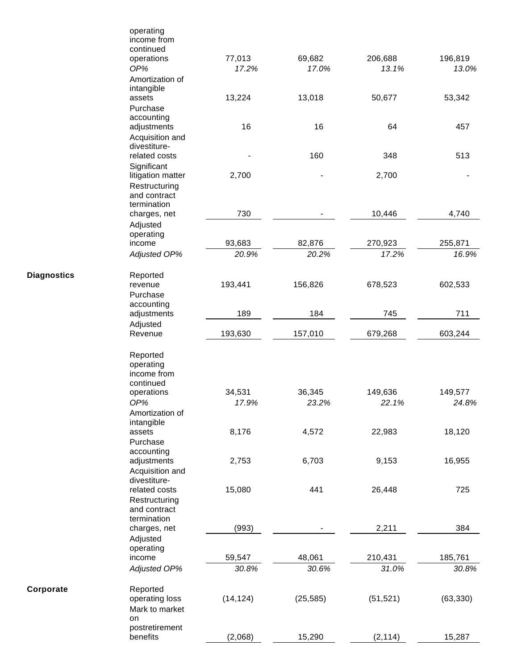|                    | operating<br>income from<br>continued |                 |                 |                  |                  |
|--------------------|---------------------------------------|-----------------|-----------------|------------------|------------------|
|                    | operations                            | 77,013          | 69,682          | 206,688          | 196,819          |
|                    | OP%                                   | 17.2%           | 17.0%           | 13.1%            | 13.0%            |
|                    | Amortization of                       |                 |                 |                  |                  |
|                    | intangible                            |                 |                 |                  |                  |
|                    | assets                                | 13,224          | 13,018          | 50,677           | 53,342           |
|                    | Purchase                              |                 |                 |                  |                  |
|                    | accounting<br>adjustments             | 16              | 16              | 64               | 457              |
|                    | Acquisition and                       |                 |                 |                  |                  |
|                    | divestiture-                          |                 |                 |                  |                  |
|                    | related costs                         |                 | 160             | 348              | 513              |
|                    | Significant                           |                 |                 |                  |                  |
|                    | litigation matter                     | 2,700           |                 | 2,700            |                  |
|                    | Restructuring<br>and contract         |                 |                 |                  |                  |
|                    | termination                           |                 |                 |                  |                  |
|                    | charges, net                          | 730             |                 | 10,446           | 4,740            |
|                    | Adjusted                              |                 |                 |                  |                  |
|                    | operating                             |                 |                 |                  |                  |
|                    | income                                | 93,683          | 82,876          | 270,923          | 255,871          |
|                    | Adjusted OP%                          | 20.9%           | 20.2%           | 17.2%            | 16.9%            |
| <b>Diagnostics</b> | Reported                              |                 |                 |                  |                  |
|                    | revenue                               | 193,441         | 156,826         | 678,523          | 602,533          |
|                    | Purchase                              |                 |                 |                  |                  |
|                    | accounting                            |                 |                 |                  |                  |
|                    | adjustments                           | 189             | 184             | 745              | 711              |
|                    | Adjusted                              |                 |                 |                  |                  |
|                    | Revenue                               | 193,630         | 157,010         | 679,268          | 603,244          |
|                    | Reported                              |                 |                 |                  |                  |
|                    | operating                             |                 |                 |                  |                  |
|                    | income from                           |                 |                 |                  |                  |
|                    | continued                             |                 |                 |                  |                  |
|                    | operations<br>OP%                     | 34,531<br>17.9% | 36,345<br>23.2% | 149,636<br>22.1% | 149,577<br>24.8% |
|                    | Amortization of                       |                 |                 |                  |                  |
|                    | intangible                            |                 |                 |                  |                  |
|                    | assets                                | 8,176           | 4,572           | 22,983           | 18,120           |
|                    | Purchase                              |                 |                 |                  |                  |
|                    | accounting                            |                 |                 |                  |                  |
|                    | adjustments                           | 2,753           | 6,703           | 9,153            | 16,955           |
|                    | Acquisition and<br>divestiture-       |                 |                 |                  |                  |
|                    | related costs                         | 15,080          | 441             | 26,448           | 725              |
|                    | Restructuring                         |                 |                 |                  |                  |
|                    | and contract                          |                 |                 |                  |                  |
|                    | termination                           |                 |                 |                  |                  |
|                    | charges, net<br>Adjusted              | (993)           |                 | 2,211            | 384              |
|                    | operating                             |                 |                 |                  |                  |
|                    | income                                | 59,547          | 48,061          | 210,431          | 185,761          |
|                    | Adjusted OP%                          | 30.8%           | 30.6%           | 31.0%            | 30.8%            |
|                    |                                       |                 |                 |                  |                  |
| Corporate          | Reported                              |                 |                 |                  |                  |
|                    | operating loss                        | (14, 124)       | (25, 585)       | (51, 521)        | (63, 330)        |
|                    | Mark to market<br>on                  |                 |                 |                  |                  |
|                    | postretirement                        |                 |                 |                  |                  |
|                    | benefits                              | (2,068)         | 15,290          | (2, 114)         | 15,287           |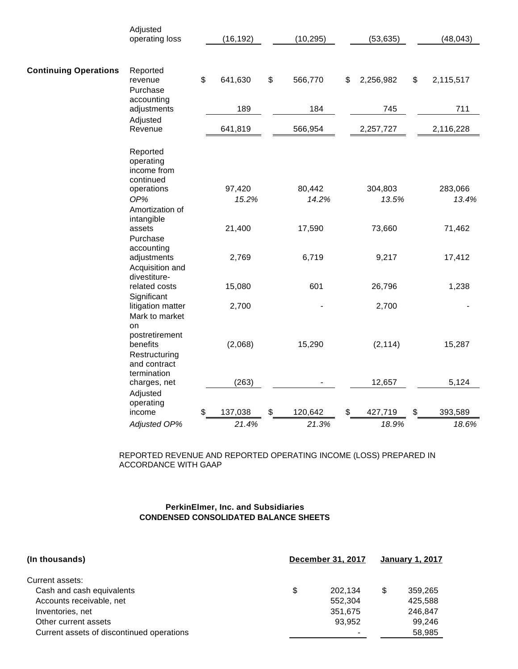|                              | Adjusted<br>operating loss                                  | (16, 192)     | (10, 295)     | (53, 635)       |       | (48, 043) |
|------------------------------|-------------------------------------------------------------|---------------|---------------|-----------------|-------|-----------|
|                              |                                                             |               |               |                 |       |           |
| <b>Continuing Operations</b> | Reported<br>revenue<br>Purchase                             | \$<br>641,630 | \$<br>566,770 | \$<br>2,256,982 | $\$\$ | 2,115,517 |
|                              | accounting<br>adjustments                                   | 189           | 184           | 745             |       | 711       |
|                              | Adjusted<br>Revenue                                         | 641,819       | 566,954       | 2,257,727       |       | 2,116,228 |
|                              | Reported<br>operating<br>income from<br>continued           |               |               |                 |       |           |
|                              | operations                                                  | 97,420        | 80,442        | 304,803         |       | 283,066   |
|                              | OP%                                                         | 15.2%         | 14.2%         | 13.5%           |       | 13.4%     |
|                              | Amortization of<br>intangible                               |               |               |                 |       |           |
|                              | assets<br>Purchase<br>accounting                            | 21,400        | 17,590        | 73,660          |       | 71,462    |
|                              | adjustments<br>Acquisition and<br>divestiture-              | 2,769         | 6,719         | 9,217           |       | 17,412    |
|                              | related costs<br>Significant                                | 15,080        | 601           | 26,796          |       | 1,238     |
|                              | litigation matter<br>Mark to market<br>on                   | 2,700         |               | 2,700           |       |           |
|                              | postretirement<br>benefits<br>Restructuring<br>and contract | (2,068)       | 15,290        | (2, 114)        |       | 15,287    |
|                              | termination                                                 |               |               |                 |       |           |
|                              | charges, net<br>Adjusted                                    | (263)         |               | 12,657          |       | 5,124     |
|                              | operating                                                   |               |               |                 |       |           |
|                              | income                                                      | \$<br>137,038 | \$<br>120,642 | \$<br>427,719   | \$    | 393,589   |
|                              | <b>Adjusted OP%</b>                                         | 21.4%         | 21.3%         | 18.9%           |       | 18.6%     |

 REPORTED REVENUE AND REPORTED OPERATING INCOME (LOSS) PREPARED IN ACCORDANCE WITH GAAP

## **PerkinElmer, Inc. and Subsidiaries CONDENSED CONSOLIDATED BALANCE SHEETS**

| (In thousands)                            |   | December 31, 2017        |   | <b>January 1, 2017</b> |
|-------------------------------------------|---|--------------------------|---|------------------------|
| Current assets:                           |   |                          |   |                        |
| Cash and cash equivalents                 | S | 202.134                  | S | 359.265                |
| Accounts receivable, net                  |   | 552,304                  |   | 425,588                |
| Inventories, net                          |   | 351.675                  |   | 246.847                |
| Other current assets                      |   | 93.952                   |   | 99.246                 |
| Current assets of discontinued operations |   | $\overline{\phantom{0}}$ |   | 58,985                 |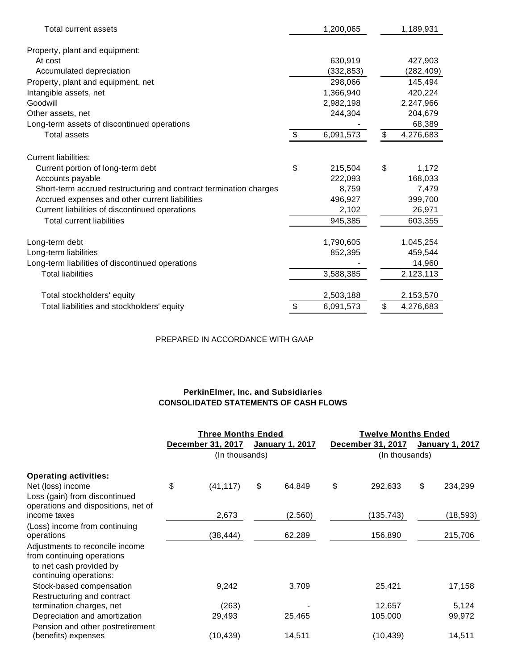| Total current assets                                              | 1,200,065            | 1,189,931            |
|-------------------------------------------------------------------|----------------------|----------------------|
| Property, plant and equipment:                                    |                      |                      |
| At cost                                                           | 630,919              | 427,903              |
| Accumulated depreciation                                          | (332, 853)           | (282, 409)           |
| Property, plant and equipment, net                                | 298,066              | 145,494              |
| Intangible assets, net                                            | 1,366,940            | 420,224              |
| Goodwill                                                          | 2,982,198            | 2,247,966            |
| Other assets, net                                                 | 244,304              | 204,679              |
| Long-term assets of discontinued operations                       |                      | 68,389               |
| <b>Total assets</b>                                               | \$<br>6,091,573      | \$<br>4,276,683      |
| <b>Current liabilities:</b>                                       |                      |                      |
| Current portion of long-term debt                                 | \$<br>215,504        | \$<br>1,172          |
| Accounts payable                                                  | 222,093              | 168,033              |
| Short-term accrued restructuring and contract termination charges | 8,759                | 7,479                |
| Accrued expenses and other current liabilities                    | 496,927              | 399,700              |
| Current liabilities of discontinued operations                    | 2,102                | 26,971               |
| <b>Total current liabilities</b>                                  | 945,385              | 603,355              |
|                                                                   |                      |                      |
| Long-term debt<br>Long-term liabilities                           | 1,790,605<br>852,395 | 1,045,254<br>459,544 |
| Long-term liabilities of discontinued operations                  |                      | 14,960               |
|                                                                   |                      |                      |
| <b>Total liabilities</b>                                          | 3,588,385            | 2,123,113            |
| Total stockholders' equity                                        | 2,503,188            | 2,153,570            |
| Total liabilities and stockholders' equity                        | \$<br>6,091,573      | \$<br>4,276,683      |

PREPARED IN ACCORDANCE WITH GAAP

# **PerkinElmer, Inc. and Subsidiaries CONSOLIDATED STATEMENTS OF CASH FLOWS**

|                                                                      | <b>Three Months Ended</b> |                        | <b>Twelve Months Ended</b> |                   |    |                        |
|----------------------------------------------------------------------|---------------------------|------------------------|----------------------------|-------------------|----|------------------------|
|                                                                      | December 31, 2017         | <u>January 1, 2017</u> |                            | December 31, 2017 |    | <u>January 1, 2017</u> |
|                                                                      | (In thousands)            |                        |                            | (In thousands)    |    |                        |
| <b>Operating activities:</b>                                         |                           |                        |                            |                   |    |                        |
| Net (loss) income                                                    | \$<br>(41, 117)           | \$<br>64,849           | \$                         | 292,633           | \$ | 234,299                |
| Loss (gain) from discontinued<br>operations and dispositions, net of |                           |                        |                            |                   |    |                        |
| income taxes                                                         | 2,673                     | (2,560)                |                            | (135,743)         |    | (18,593)               |
| (Loss) income from continuing<br>operations                          | (38,444)                  | 62,289                 |                            | 156,890           |    | 215,706                |
| Adjustments to reconcile income<br>from continuing operations        |                           |                        |                            |                   |    |                        |
| to net cash provided by<br>continuing operations:                    |                           |                        |                            |                   |    |                        |
| Stock-based compensation                                             | 9,242                     | 3,709                  |                            | 25,421            |    | 17,158                 |
| Restructuring and contract                                           |                           |                        |                            |                   |    |                        |
| termination charges, net                                             | (263)                     |                        |                            | 12,657            |    | 5,124                  |
| Depreciation and amortization                                        | 29,493                    | 25,465                 |                            | 105,000           |    | 99,972                 |
| Pension and other postretirement                                     |                           |                        |                            |                   |    |                        |
| (benefits) expenses                                                  | (10,439)                  | 14,511                 |                            | (10, 439)         |    | 14,511                 |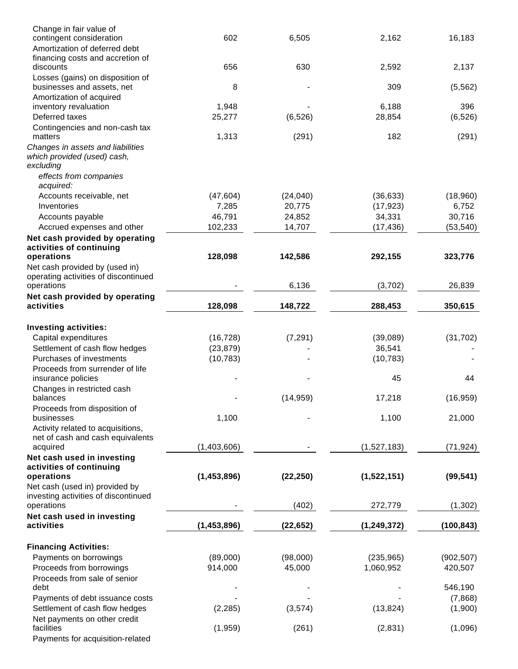| Change in fair value of                                    |             |           |               |            |
|------------------------------------------------------------|-------------|-----------|---------------|------------|
| contingent consideration                                   | 602         | 6,505     | 2,162         | 16,183     |
| Amortization of deferred debt                              |             |           |               |            |
| financing costs and accretion of                           |             |           |               |            |
| discounts                                                  | 656         | 630       | 2,592         | 2,137      |
| Losses (gains) on disposition of                           |             |           |               |            |
| businesses and assets, net                                 | 8           |           | 309           | (5, 562)   |
| Amortization of acquired                                   |             |           |               |            |
| inventory revaluation                                      | 1,948       |           | 6,188         | 396        |
| Deferred taxes                                             | 25,277      | (6, 526)  | 28,854        | (6, 526)   |
| Contingencies and non-cash tax                             |             |           |               |            |
| matters                                                    | 1,313       | (291)     | 182           | (291)      |
| Changes in assets and liabilities                          |             |           |               |            |
| which provided (used) cash,<br>excluding                   |             |           |               |            |
| effects from companies<br>acquired:                        |             |           |               |            |
| Accounts receivable, net                                   | (47, 604)   | (24, 040) | (36, 633)     | (18,960)   |
| Inventories                                                | 7,285       | 20,775    | (17, 923)     | 6,752      |
| Accounts payable                                           | 46,791      | 24,852    | 34,331        | 30,716     |
| Accrued expenses and other                                 | 102,233     | 14,707    | (17, 436)     | (53, 540)  |
| Net cash provided by operating<br>activities of continuing |             |           |               |            |
| operations                                                 | 128,098     | 142,586   | 292,155       | 323,776    |
| Net cash provided by (used in)                             |             |           |               |            |
| operating activities of discontinued<br>operations         |             | 6,136     | (3,702)       | 26,839     |
| Net cash provided by operating                             |             |           |               |            |
| activities                                                 | 128,098     | 148,722   | 288,453       | 350,615    |
|                                                            |             |           |               |            |
| <b>Investing activities:</b>                               |             |           |               |            |
| Capital expenditures                                       | (16, 728)   | (7, 291)  | (39,089)      | (31, 702)  |
| Settlement of cash flow hedges                             | (23, 879)   |           | 36,541        |            |
| Purchases of investments                                   | (10, 783)   |           | (10, 783)     |            |
| Proceeds from surrender of life                            |             |           |               |            |
| insurance policies                                         |             |           | 45            | 44         |
| Changes in restricted cash                                 |             |           |               |            |
| balances                                                   |             | (14, 959) | 17,218        | (16, 959)  |
| Proceeds from disposition of                               |             |           |               |            |
| businesses                                                 | 1,100       |           | 1,100         | 21,000     |
| Activity related to acquisitions,                          |             |           |               |            |
| net of cash and cash equivalents                           |             |           |               |            |
| acquired                                                   | (1,403,606) |           | (1,527,183)   | (71, 924)  |
| Net cash used in investing                                 |             |           |               |            |
| activities of continuing                                   |             |           |               |            |
| operations                                                 | (1,453,896) | (22, 250) | (1,522,151)   | (99, 541)  |
| Net cash (used in) provided by                             |             |           |               |            |
| investing activities of discontinued                       |             |           |               |            |
| operations                                                 |             | (402)     | 272,779       | (1, 302)   |
| Net cash used in investing                                 |             |           |               |            |
| activities                                                 | (1,453,896) | (22, 652) | (1, 249, 372) | (100, 843) |
|                                                            |             |           |               |            |
| <b>Financing Activities:</b>                               |             |           |               |            |
| Payments on borrowings                                     | (89,000)    | (98,000)  | (235, 965)    | (902, 507) |
| Proceeds from borrowings                                   | 914,000     | 45,000    | 1,060,952     | 420,507    |
| Proceeds from sale of senior                               |             |           |               |            |
| debt                                                       |             |           |               | 546,190    |
| Payments of debt issuance costs                            |             |           |               | (7,868)    |
| Settlement of cash flow hedges                             | (2, 285)    | (3, 574)  | (13, 824)     | (1,900)    |
| Net payments on other credit                               |             |           |               |            |
| facilities                                                 | (1,959)     | (261)     | (2,831)       | (1,096)    |
| Payments for acquisition-related                           |             |           |               |            |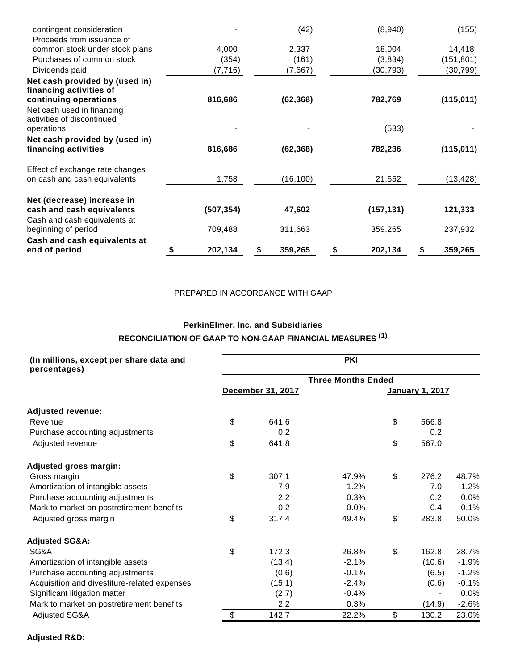| contingent consideration                                                           |               | (42)          | (8,940)       | (155)         |
|------------------------------------------------------------------------------------|---------------|---------------|---------------|---------------|
| Proceeds from issuance of                                                          |               |               |               |               |
| common stock under stock plans                                                     | 4,000         | 2,337         | 18,004        | 14,418        |
| Purchases of common stock                                                          | (354)         | (161)         | (3,834)       | (151, 801)    |
| Dividends paid                                                                     | (7, 716)      | (7,667)       | (30, 793)     | (30, 799)     |
| Net cash provided by (used in)<br>financing activities of<br>continuing operations | 816,686       | (62, 368)     | 782,769       | (115, 011)    |
| Net cash used in financing<br>activities of discontinued<br>operations             |               |               | (533)         |               |
| Net cash provided by (used in)                                                     |               |               |               |               |
| financing activities                                                               | 816,686       | (62, 368)     | 782,236       | (115, 011)    |
| Effect of exchange rate changes                                                    |               |               |               |               |
| on cash and cash equivalents                                                       | 1,758         | (16, 100)     | 21,552        | (13, 428)     |
| Net (decrease) increase in                                                         |               |               |               |               |
| cash and cash equivalents                                                          | (507,354)     | 47,602        | (157, 131)    | 121,333       |
| Cash and cash equivalents at                                                       |               |               |               |               |
| beginning of period                                                                | 709,488       | 311,663       | 359,265       | 237,932       |
| Cash and cash equivalents at<br>end of period                                      | \$<br>202,134 | \$<br>359,265 | \$<br>202,134 | \$<br>359,265 |

PREPARED IN ACCORDANCE WITH GAAP

# **PerkinElmer, Inc. and Subsidiaries RECONCILIATION OF GAAP TO NON-GAAP FINANCIAL MEASURES (1)**

| (In millions, except per share data and<br>percentages) | <b>PKI</b>     |                   |                           |    |                 |         |  |  |  |  |
|---------------------------------------------------------|----------------|-------------------|---------------------------|----|-----------------|---------|--|--|--|--|
|                                                         |                |                   | <b>Three Months Ended</b> |    |                 |         |  |  |  |  |
|                                                         |                | December 31, 2017 |                           |    | January 1, 2017 |         |  |  |  |  |
| <b>Adjusted revenue:</b>                                |                |                   |                           |    |                 |         |  |  |  |  |
| Revenue                                                 | \$             | 641.6             |                           | \$ | 566.8           |         |  |  |  |  |
| Purchase accounting adjustments                         |                | 0.2               |                           |    | 0.2             |         |  |  |  |  |
| Adjusted revenue                                        | \$             | 641.8             |                           | \$ | 567.0           |         |  |  |  |  |
| <b>Adjusted gross margin:</b>                           |                |                   |                           |    |                 |         |  |  |  |  |
| Gross margin                                            | \$             | 307.1             | 47.9%                     | \$ | 276.2           | 48.7%   |  |  |  |  |
| Amortization of intangible assets                       |                | 7.9               | 1.2%                      |    | 7.0             | 1.2%    |  |  |  |  |
| Purchase accounting adjustments                         |                | 2.2               | 0.3%                      |    | 0.2             | 0.0%    |  |  |  |  |
| Mark to market on postretirement benefits               |                | 0.2               | 0.0%                      |    | 0.4             | 0.1%    |  |  |  |  |
| Adjusted gross margin                                   | $\mathfrak{S}$ | 317.4             | 49.4%                     | \$ | 283.8           | 50.0%   |  |  |  |  |
| <b>Adjusted SG&amp;A:</b>                               |                |                   |                           |    |                 |         |  |  |  |  |
| SG&A                                                    | \$             | 172.3             | 26.8%                     | \$ | 162.8           | 28.7%   |  |  |  |  |
| Amortization of intangible assets                       |                | (13.4)            | $-2.1%$                   |    | (10.6)          | $-1.9%$ |  |  |  |  |
| Purchase accounting adjustments                         |                | (0.6)             | $-0.1%$                   |    | (6.5)           | $-1.2%$ |  |  |  |  |
| Acquisition and divestiture-related expenses            |                | (15.1)            | $-2.4%$                   |    | (0.6)           | $-0.1%$ |  |  |  |  |
| Significant litigation matter                           |                | (2.7)             | $-0.4%$                   |    |                 | 0.0%    |  |  |  |  |
| Mark to market on postretirement benefits               |                | 2.2               | 0.3%                      |    | (14.9)          | $-2.6%$ |  |  |  |  |
| Adjusted SG&A                                           | \$             | 142.7             | 22.2%                     | \$ | 130.2           | 23.0%   |  |  |  |  |

**Adjusted R&D:**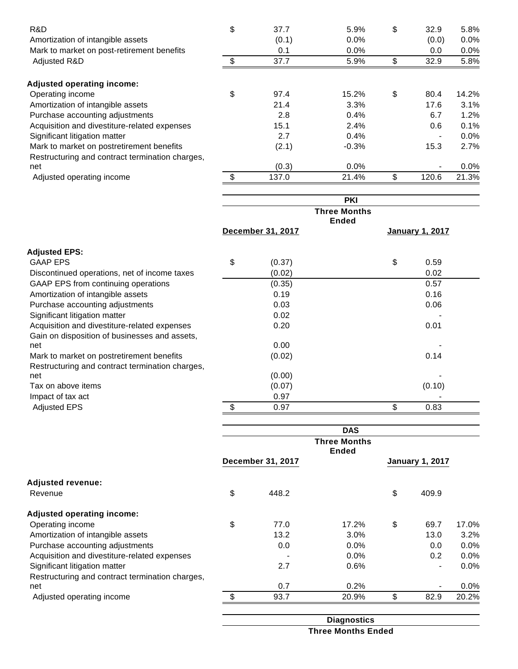| R&D<br>Amortization of intangible assets        | \$ | 37.7<br>(0.1) | 5.9%<br>$0.0\%$ | \$<br>32.9<br>(0.0) | 5.8%<br>$0.0\%$ |
|-------------------------------------------------|----|---------------|-----------------|---------------------|-----------------|
| Mark to market on post-retirement benefits      |    | 0.1           | $0.0\%$         | 0.0                 | $0.0\%$         |
| Adjusted R&D                                    | ¢  | 37.7          | 5.9%            | \$<br>32.9          | 5.8%            |
| <b>Adjusted operating income:</b>               |    |               |                 |                     |                 |
| Operating income                                | \$ | 97.4          | 15.2%           | \$<br>80.4          | 14.2%           |
| Amortization of intangible assets               |    | 21.4          | 3.3%            | 17.6                | 3.1%            |
| Purchase accounting adjustments                 |    | 2.8           | 0.4%            | 6.7                 | 1.2%            |
| Acquisition and divestiture-related expenses    |    | 15.1          | 2.4%            | 0.6                 | 0.1%            |
| Significant litigation matter                   |    | 2.7           | 0.4%            |                     | $0.0\%$         |
| Mark to market on postretirement benefits       |    | (2.1)         | $-0.3%$         | 15.3                | 2.7%            |
| Restructuring and contract termination charges, |    |               |                 |                     |                 |
| net                                             |    | (0.3)         | $0.0\%$         |                     | $0.0\%$         |
| Adjusted operating income                       |    | 137.0         | 21.4%           | \$<br>120.6         | 21.3%           |

| <b>January 1, 2017</b> |
|------------------------|
|                        |
| 0.59                   |
| 0.02                   |
| 0.57                   |
| 0.16                   |
| 0.06                   |
|                        |
| 0.01                   |
|                        |
|                        |
| 0.14                   |
|                        |
|                        |
| (0.10)                 |
|                        |
| 0.83                   |
|                        |

|                                                 |    |                   | <b>DAS</b>                          |                        |         |
|-------------------------------------------------|----|-------------------|-------------------------------------|------------------------|---------|
|                                                 |    |                   | <b>Three Months</b><br><b>Ended</b> |                        |         |
|                                                 |    | December 31, 2017 |                                     | <b>January 1, 2017</b> |         |
| <b>Adjusted revenue:</b>                        |    |                   |                                     |                        |         |
| Revenue                                         | \$ | 448.2             |                                     | \$<br>409.9            |         |
| <b>Adjusted operating income:</b>               |    |                   |                                     |                        |         |
| Operating income                                | \$ | 77.0              | 17.2%                               | \$<br>69.7             | 17.0%   |
| Amortization of intangible assets               |    | 13.2              | $3.0\%$                             | 13.0                   | $3.2\%$ |
| Purchase accounting adjustments                 |    | 0.0               | 0.0%                                | 0.0                    | $0.0\%$ |
| Acquisition and divestiture-related expenses    |    |                   | $0.0\%$                             | 0.2 <sub>0</sub>       | $0.0\%$ |
| Significant litigation matter                   |    | 2.7               | 0.6%                                |                        | $0.0\%$ |
| Restructuring and contract termination charges, |    |                   |                                     |                        |         |
| net                                             |    | 0.7               | 0.2%                                |                        | $0.0\%$ |
| Adjusted operating income                       | ደ  | 93.7              | 20.9%                               | \$<br>82.9             | 20.2%   |

**Diagnostics Three Months Ended**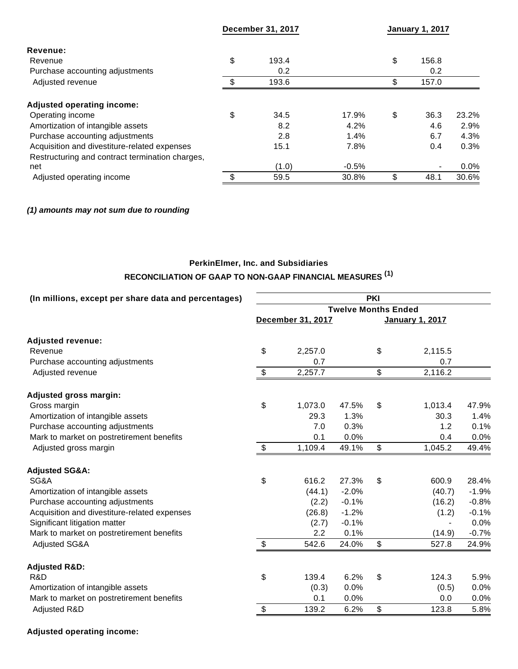|                                                 | <b>December 31, 2017</b> |         | <b>January 1, 2017</b> |         |
|-------------------------------------------------|--------------------------|---------|------------------------|---------|
| Revenue:                                        |                          |         |                        |         |
| Revenue                                         | \$<br>193.4              |         | \$<br>156.8            |         |
| Purchase accounting adjustments                 | 0.2                      |         | $0.2^{\circ}$          |         |
| Adjusted revenue                                | \$<br>193.6              |         | \$<br>157.0            |         |
| <b>Adjusted operating income:</b>               |                          |         |                        |         |
| Operating income                                | \$<br>34.5               | 17.9%   | \$<br>36.3             | 23.2%   |
| Amortization of intangible assets               | 8.2                      | 4.2%    | 4.6                    | 2.9%    |
| Purchase accounting adjustments                 | 2.8                      | 1.4%    | 6.7                    | 4.3%    |
| Acquisition and divestiture-related expenses    | 15.1                     | 7.8%    | 0.4                    | 0.3%    |
| Restructuring and contract termination charges, |                          |         |                        |         |
| net                                             | (1.0)                    | $-0.5%$ | $\blacksquare$         | $0.0\%$ |
| Adjusted operating income                       | \$<br>59.5               | 30.8%   | \$<br>48.1             | 30.6%   |

# **(1) amounts may not sum due to rounding**

# **PerkinElmer, Inc. and Subsidiaries**

# **RECONCILIATION OF GAAP TO NON-GAAP FINANCIAL MEASURES (1)**

| (In millions, except per share data and percentages) | <b>PKI</b>                |                          |                            |    |                 |         |
|------------------------------------------------------|---------------------------|--------------------------|----------------------------|----|-----------------|---------|
|                                                      |                           |                          | <b>Twelve Months Ended</b> |    |                 |         |
|                                                      |                           | <b>December 31, 2017</b> |                            |    | January 1, 2017 |         |
| <b>Adjusted revenue:</b>                             |                           |                          |                            |    |                 |         |
| Revenue                                              | \$                        | 2,257.0                  |                            | \$ | 2,115.5         |         |
| Purchase accounting adjustments                      |                           | 0.7                      |                            |    | 0.7             |         |
| Adjusted revenue                                     | $\sqrt[6]{\frac{1}{2}}$   | 2,257.7                  |                            | \$ | 2,116.2         |         |
| <b>Adjusted gross margin:</b>                        |                           |                          |                            |    |                 |         |
| Gross margin                                         | \$                        | 1,073.0                  | 47.5%                      | \$ | 1,013.4         | 47.9%   |
| Amortization of intangible assets                    |                           | 29.3                     | 1.3%                       |    | 30.3            | 1.4%    |
| Purchase accounting adjustments                      |                           | 7.0                      | 0.3%                       |    | 1.2             | 0.1%    |
| Mark to market on postretirement benefits            |                           | 0.1                      | 0.0%                       |    | 0.4             | 0.0%    |
| Adjusted gross margin                                | $\, \, \$$                | 1,109.4                  | 49.1%                      | \$ | 1,045.2         | 49.4%   |
| <b>Adjusted SG&amp;A:</b>                            |                           |                          |                            |    |                 |         |
| SG&A                                                 | \$                        | 616.2                    | 27.3%                      | \$ | 600.9           | 28.4%   |
| Amortization of intangible assets                    |                           | (44.1)                   | $-2.0%$                    |    | (40.7)          | $-1.9%$ |
| Purchase accounting adjustments                      |                           | (2.2)                    | $-0.1%$                    |    | (16.2)          | $-0.8%$ |
| Acquisition and divestiture-related expenses         |                           | (26.8)                   | $-1.2%$                    |    | (1.2)           | $-0.1%$ |
| Significant litigation matter                        |                           | (2.7)                    | $-0.1%$                    |    |                 | 0.0%    |
| Mark to market on postretirement benefits            |                           | 2.2                      | 0.1%                       |    | (14.9)          | $-0.7%$ |
| Adjusted SG&A                                        | $\boldsymbol{\mathsf{S}}$ | 542.6                    | 24.0%                      | \$ | 527.8           | 24.9%   |
| <b>Adjusted R&amp;D:</b>                             |                           |                          |                            |    |                 |         |
| R&D                                                  | \$                        | 139.4                    | 6.2%                       | \$ | 124.3           | 5.9%    |
| Amortization of intangible assets                    |                           | (0.3)                    | 0.0%                       |    | (0.5)           | 0.0%    |
| Mark to market on postretirement benefits            |                           | 0.1                      | 0.0%                       |    | 0.0             | 0.0%    |
| Adjusted R&D                                         | \$                        | 139.2                    | 6.2%                       | \$ | 123.8           | 5.8%    |
|                                                      |                           |                          |                            |    |                 |         |

## **Adjusted operating income:**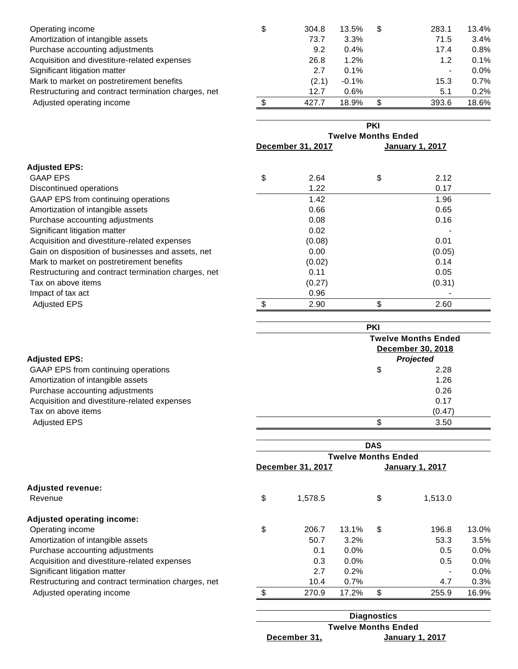| Operating income                                    | \$<br>304.8 | 13.5%   | S   | 283.1 | 13.4%   |
|-----------------------------------------------------|-------------|---------|-----|-------|---------|
| Amortization of intangible assets                   | 73.7        | 3.3%    |     | 71.5  | 3.4%    |
| Purchase accounting adjustments                     | 9.2         | 0.4%    |     | 17.4  | 0.8%    |
| Acquisition and divestiture-related expenses        | 26.8        | 1.2%    |     | 1.2   | $0.1\%$ |
| Significant litigation matter                       | 2.7         | 0.1%    |     |       | $0.0\%$ |
| Mark to market on postretirement benefits           | (2.1)       | $-0.1%$ |     | 15.3  | $0.7\%$ |
| Restructuring and contract termination charges, net | 12.7        | 0.6%    |     | 5.1   | 0.2%    |
| Adjusted operating income                           | \$<br>427.7 | 18.9%   | \$. | 393.6 | 18.6%   |

|                                                     |                          | <b>PKI</b>                 |                        |
|-----------------------------------------------------|--------------------------|----------------------------|------------------------|
|                                                     |                          | <b>Twelve Months Ended</b> |                        |
|                                                     | <b>December 31, 2017</b> |                            | <u>January 1, 2017</u> |
| <b>Adjusted EPS:</b>                                |                          |                            |                        |
| <b>GAAP EPS</b>                                     | \$<br>2.64               | \$                         | 2.12                   |
| Discontinued operations                             | 1.22                     |                            | 0.17                   |
| GAAP EPS from continuing operations                 | 1.42                     |                            | 1.96                   |
| Amortization of intangible assets                   | 0.66                     |                            | 0.65                   |
| Purchase accounting adjustments                     | 0.08                     |                            | 0.16                   |
| Significant litigation matter                       | 0.02                     |                            |                        |
| Acquisition and divestiture-related expenses        | (0.08)                   |                            | 0.01                   |
| Gain on disposition of businesses and assets, net   | 0.00                     |                            | (0.05)                 |
| Mark to market on postretirement benefits           | (0.02)                   |                            | 0.14                   |
| Restructuring and contract termination charges, net | 0.11                     |                            | 0.05                   |
| Tax on above items                                  | (0.27)                   |                            | (0.31)                 |
| Impact of tax act                                   | 0.96                     |                            |                        |
| <b>Adjusted EPS</b>                                 | \$<br>2.90               | \$                         | 2.60                   |

|                                              | <b>PKI</b> |                            |
|----------------------------------------------|------------|----------------------------|
|                                              |            | <b>Twelve Months Ended</b> |
|                                              |            | <b>December 30, 2018</b>   |
| <b>Adjusted EPS:</b>                         |            | Projected                  |
| GAAP EPS from continuing operations          | \$         | 2.28                       |
| Amortization of intangible assets            |            | 1.26                       |
| Purchase accounting adjustments              |            | 0.26                       |
| Acquisition and divestiture-related expenses |            | 0.17                       |
| Tax on above items                           |            | (0.47)                     |
| <b>Adjusted EPS</b>                          |            | 3.50                       |

| \$             | 1.578.5 |       | \$                | 1,513.0    |                                                      |
|----------------|---------|-------|-------------------|------------|------------------------------------------------------|
|                |         |       |                   |            |                                                      |
| \$             | 206.7   | 13.1% | \$                | 196.8      | 13.0%                                                |
|                | 50.7    | 3.2%  |                   | 53.3       | 3.5%                                                 |
|                | 0.1     | 0.0%  |                   | 0.5        | $0.0\%$                                              |
|                | 0.3     | 0.0%  |                   | 0.5        | $0.0\%$                                              |
|                | 2.7     | 0.2%  |                   |            | $0.0\%$                                              |
|                | 10.4    | 0.7%  |                   | 4.7        | 0.3%                                                 |
| $\mathfrak{L}$ | 270.9   | 17.2% | \$                | 255.9      | 16.9%                                                |
|                |         |       | December 31, 2017 | <b>DAS</b> | <b>Twelve Months Ended</b><br><u>January 1, 2017</u> |

|              | <b>Diagnostics</b>         |
|--------------|----------------------------|
|              | <b>Twelve Months Ended</b> |
| December 31. | <b>January 1, 2017</b>     |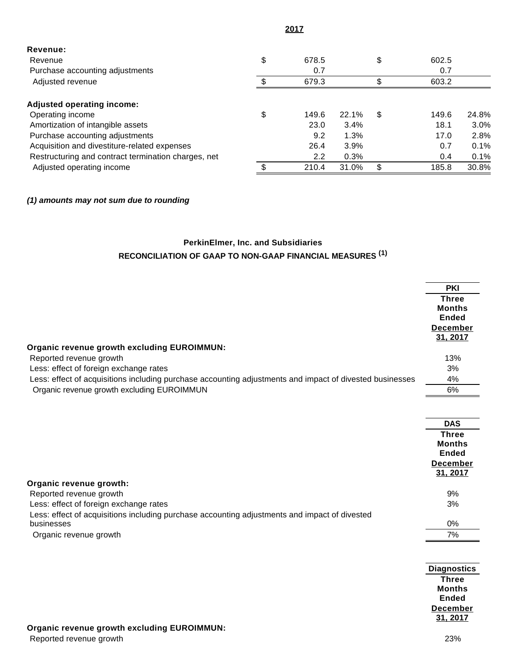| Revenue:<br>Revenue<br>Purchase accounting adjustments | \$ | 678.5<br>0.7 |       | \$<br>602.5<br>0.7 |       |
|--------------------------------------------------------|----|--------------|-------|--------------------|-------|
| Adjusted revenue                                       | ¢  | 679.3        |       | \$<br>603.2        |       |
| <b>Adjusted operating income:</b>                      |    |              |       |                    |       |
| Operating income                                       | \$ | 149.6        | 22.1% | \$<br>149.6        | 24.8% |
| Amortization of intangible assets                      |    | 23.0         | 3.4%  | 18.1               | 3.0%  |
| Purchase accounting adjustments                        |    | 9.2          | 1.3%  | 17.0               | 2.8%  |
| Acquisition and divestiture-related expenses           |    | 26.4         | 3.9%  | 0.7                | 0.1%  |
| Restructuring and contract termination charges, net    |    | 2.2          | 0.3%  | 0.4                | 0.1%  |
| Adjusted operating income                              | \$ | 210.4        | 31.0% | \$<br>185.8        | 30.8% |

**2017**

# **(1) amounts may not sum due to rounding**

# **PerkinElmer, Inc. and Subsidiaries RECONCILIATION OF GAAP TO NON-GAAP FINANCIAL MEASURES (1)**

| <b>PKI</b><br><b>Three</b><br><b>Months</b><br><b>Ended</b><br><b>December</b><br>31, 2017<br>Reported revenue growth<br>13%<br>3%<br>Less: effect of foreign exchange rates<br>Less: effect of acquisitions including purchase accounting adjustments and impact of divested businesses<br>4%<br>6%<br>Organic revenue growth excluding EUROIMMUN<br><b>DAS</b><br><b>Three</b><br><b>Months</b><br><b>Ended</b><br><b>December</b><br>31, 2017<br>Organic revenue growth:<br>Reported revenue growth<br>9%<br>Less: effect of foreign exchange rates<br>3%<br>Less: effect of acquisitions including purchase accounting adjustments and impact of divested<br>0%<br>businesses<br>7%<br>Organic revenue growth<br><b>Diagnostics</b><br><b>Three</b><br><b>Months</b><br><b>Ended</b><br><b>December</b> |                                                    |          |
|-------------------------------------------------------------------------------------------------------------------------------------------------------------------------------------------------------------------------------------------------------------------------------------------------------------------------------------------------------------------------------------------------------------------------------------------------------------------------------------------------------------------------------------------------------------------------------------------------------------------------------------------------------------------------------------------------------------------------------------------------------------------------------------------------------------|----------------------------------------------------|----------|
|                                                                                                                                                                                                                                                                                                                                                                                                                                                                                                                                                                                                                                                                                                                                                                                                             |                                                    |          |
|                                                                                                                                                                                                                                                                                                                                                                                                                                                                                                                                                                                                                                                                                                                                                                                                             |                                                    |          |
|                                                                                                                                                                                                                                                                                                                                                                                                                                                                                                                                                                                                                                                                                                                                                                                                             |                                                    |          |
|                                                                                                                                                                                                                                                                                                                                                                                                                                                                                                                                                                                                                                                                                                                                                                                                             |                                                    |          |
|                                                                                                                                                                                                                                                                                                                                                                                                                                                                                                                                                                                                                                                                                                                                                                                                             |                                                    |          |
|                                                                                                                                                                                                                                                                                                                                                                                                                                                                                                                                                                                                                                                                                                                                                                                                             |                                                    |          |
|                                                                                                                                                                                                                                                                                                                                                                                                                                                                                                                                                                                                                                                                                                                                                                                                             | <b>Organic revenue growth excluding EUROIMMUN:</b> |          |
|                                                                                                                                                                                                                                                                                                                                                                                                                                                                                                                                                                                                                                                                                                                                                                                                             |                                                    |          |
|                                                                                                                                                                                                                                                                                                                                                                                                                                                                                                                                                                                                                                                                                                                                                                                                             |                                                    |          |
|                                                                                                                                                                                                                                                                                                                                                                                                                                                                                                                                                                                                                                                                                                                                                                                                             |                                                    |          |
|                                                                                                                                                                                                                                                                                                                                                                                                                                                                                                                                                                                                                                                                                                                                                                                                             |                                                    |          |
|                                                                                                                                                                                                                                                                                                                                                                                                                                                                                                                                                                                                                                                                                                                                                                                                             |                                                    |          |
|                                                                                                                                                                                                                                                                                                                                                                                                                                                                                                                                                                                                                                                                                                                                                                                                             |                                                    |          |
|                                                                                                                                                                                                                                                                                                                                                                                                                                                                                                                                                                                                                                                                                                                                                                                                             |                                                    |          |
|                                                                                                                                                                                                                                                                                                                                                                                                                                                                                                                                                                                                                                                                                                                                                                                                             |                                                    |          |
|                                                                                                                                                                                                                                                                                                                                                                                                                                                                                                                                                                                                                                                                                                                                                                                                             |                                                    |          |
|                                                                                                                                                                                                                                                                                                                                                                                                                                                                                                                                                                                                                                                                                                                                                                                                             |                                                    |          |
|                                                                                                                                                                                                                                                                                                                                                                                                                                                                                                                                                                                                                                                                                                                                                                                                             |                                                    |          |
|                                                                                                                                                                                                                                                                                                                                                                                                                                                                                                                                                                                                                                                                                                                                                                                                             |                                                    |          |
|                                                                                                                                                                                                                                                                                                                                                                                                                                                                                                                                                                                                                                                                                                                                                                                                             |                                                    |          |
|                                                                                                                                                                                                                                                                                                                                                                                                                                                                                                                                                                                                                                                                                                                                                                                                             |                                                    |          |
|                                                                                                                                                                                                                                                                                                                                                                                                                                                                                                                                                                                                                                                                                                                                                                                                             |                                                    |          |
|                                                                                                                                                                                                                                                                                                                                                                                                                                                                                                                                                                                                                                                                                                                                                                                                             |                                                    |          |
|                                                                                                                                                                                                                                                                                                                                                                                                                                                                                                                                                                                                                                                                                                                                                                                                             |                                                    |          |
|                                                                                                                                                                                                                                                                                                                                                                                                                                                                                                                                                                                                                                                                                                                                                                                                             |                                                    |          |
|                                                                                                                                                                                                                                                                                                                                                                                                                                                                                                                                                                                                                                                                                                                                                                                                             |                                                    |          |
|                                                                                                                                                                                                                                                                                                                                                                                                                                                                                                                                                                                                                                                                                                                                                                                                             |                                                    |          |
|                                                                                                                                                                                                                                                                                                                                                                                                                                                                                                                                                                                                                                                                                                                                                                                                             |                                                    |          |
|                                                                                                                                                                                                                                                                                                                                                                                                                                                                                                                                                                                                                                                                                                                                                                                                             |                                                    |          |
|                                                                                                                                                                                                                                                                                                                                                                                                                                                                                                                                                                                                                                                                                                                                                                                                             |                                                    |          |
|                                                                                                                                                                                                                                                                                                                                                                                                                                                                                                                                                                                                                                                                                                                                                                                                             |                                                    |          |
|                                                                                                                                                                                                                                                                                                                                                                                                                                                                                                                                                                                                                                                                                                                                                                                                             |                                                    |          |
|                                                                                                                                                                                                                                                                                                                                                                                                                                                                                                                                                                                                                                                                                                                                                                                                             |                                                    | 31, 2017 |

# **Organic revenue growth excluding EUROIMMUN:** Reported revenue growth 23%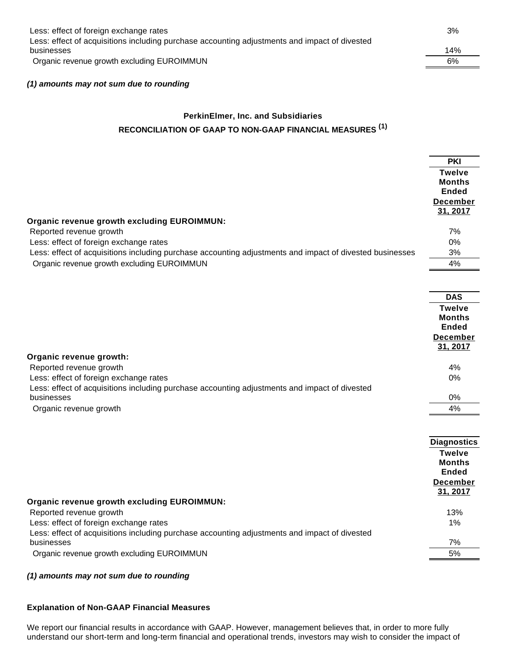| Less: effect of foreign exchange rates                                                        | 3%  |
|-----------------------------------------------------------------------------------------------|-----|
| Less: effect of acquisitions including purchase accounting adjustments and impact of divested |     |
| businesses                                                                                    | 14% |
| Organic revenue growth excluding EUROIMMUN                                                    | 6%  |
|                                                                                               |     |

**(1) amounts may not sum due to rounding**

# **PerkinElmer, Inc. and Subsidiaries RECONCILIATION OF GAAP TO NON-GAAP FINANCIAL MEASURES (1)**

|                                                                                                          | <b>PKI</b>                      |
|----------------------------------------------------------------------------------------------------------|---------------------------------|
|                                                                                                          | <b>Twelve</b>                   |
|                                                                                                          | <b>Months</b>                   |
|                                                                                                          | <b>Ended</b><br><b>December</b> |
|                                                                                                          | 31, 2017                        |
| Organic revenue growth excluding EUROIMMUN:                                                              |                                 |
| Reported revenue growth                                                                                  | 7%                              |
| Less: effect of foreign exchange rates                                                                   | 0%                              |
| Less: effect of acquisitions including purchase accounting adjustments and impact of divested businesses | 3%                              |
| Organic revenue growth excluding EUROIMMUN                                                               | 4%                              |
|                                                                                                          |                                 |
|                                                                                                          |                                 |
|                                                                                                          | <b>DAS</b>                      |
|                                                                                                          | <b>Twelve</b>                   |
|                                                                                                          | <b>Months</b><br><b>Ended</b>   |
|                                                                                                          | <b>December</b>                 |
|                                                                                                          | 31, 2017                        |
| Organic revenue growth:                                                                                  |                                 |
| Reported revenue growth                                                                                  | 4%                              |
| Less: effect of foreign exchange rates                                                                   | 0%                              |
| Less: effect of acquisitions including purchase accounting adjustments and impact of divested            |                                 |
| businesses                                                                                               | 0%                              |
| Organic revenue growth                                                                                   | 4%                              |
|                                                                                                          |                                 |
|                                                                                                          | <b>Diagnostics</b>              |
|                                                                                                          | <b>Twelve</b>                   |
|                                                                                                          | <b>Months</b>                   |
|                                                                                                          | <b>Ended</b>                    |
|                                                                                                          | <b>December</b><br>31, 2017     |
| Organic revenue growth excluding EUROIMMUN:                                                              |                                 |
| Reported revenue growth                                                                                  | 13%                             |
| Less: effect of foreign exchange rates                                                                   | 1%                              |
| Less: effect of acquisitions including purchase accounting adjustments and impact of divested            |                                 |
| businesses                                                                                               | 7%                              |
| Organic revenue growth excluding EUROIMMUN                                                               | 5%                              |

# **(1) amounts may not sum due to rounding**

## **Explanation of Non-GAAP Financial Measures**

We report our financial results in accordance with GAAP. However, management believes that, in order to more fully understand our short-term and long-term financial and operational trends, investors may wish to consider the impact of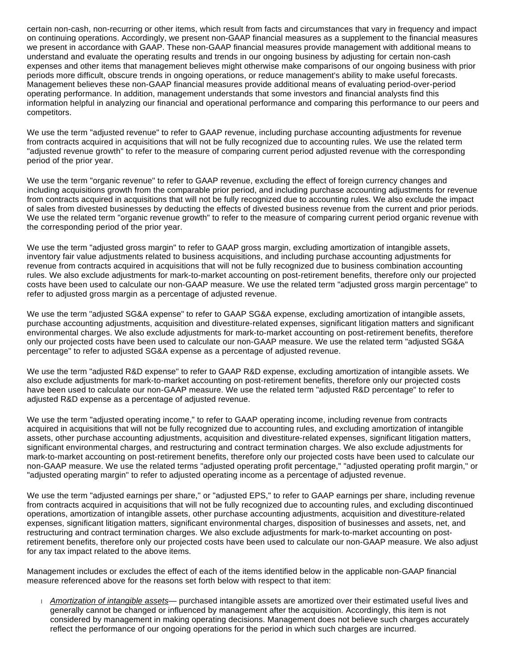certain non-cash, non-recurring or other items, which result from facts and circumstances that vary in frequency and impact on continuing operations. Accordingly, we present non-GAAP financial measures as a supplement to the financial measures we present in accordance with GAAP. These non-GAAP financial measures provide management with additional means to understand and evaluate the operating results and trends in our ongoing business by adjusting for certain non-cash expenses and other items that management believes might otherwise make comparisons of our ongoing business with prior periods more difficult, obscure trends in ongoing operations, or reduce management's ability to make useful forecasts. Management believes these non-GAAP financial measures provide additional means of evaluating period-over-period operating performance. In addition, management understands that some investors and financial analysts find this information helpful in analyzing our financial and operational performance and comparing this performance to our peers and competitors.

We use the term "adjusted revenue" to refer to GAAP revenue, including purchase accounting adjustments for revenue from contracts acquired in acquisitions that will not be fully recognized due to accounting rules. We use the related term "adjusted revenue growth" to refer to the measure of comparing current period adjusted revenue with the corresponding period of the prior year.

We use the term "organic revenue" to refer to GAAP revenue, excluding the effect of foreign currency changes and including acquisitions growth from the comparable prior period, and including purchase accounting adjustments for revenue from contracts acquired in acquisitions that will not be fully recognized due to accounting rules. We also exclude the impact of sales from divested businesses by deducting the effects of divested business revenue from the current and prior periods. We use the related term "organic revenue growth" to refer to the measure of comparing current period organic revenue with the corresponding period of the prior year.

We use the term "adjusted gross margin" to refer to GAAP gross margin, excluding amortization of intangible assets, inventory fair value adjustments related to business acquisitions, and including purchase accounting adjustments for revenue from contracts acquired in acquisitions that will not be fully recognized due to business combination accounting rules. We also exclude adjustments for mark-to-market accounting on post-retirement benefits, therefore only our projected costs have been used to calculate our non-GAAP measure. We use the related term "adjusted gross margin percentage" to refer to adjusted gross margin as a percentage of adjusted revenue.

We use the term "adjusted SG&A expense" to refer to GAAP SG&A expense, excluding amortization of intangible assets, purchase accounting adjustments, acquisition and divestiture-related expenses, significant litigation matters and significant environmental charges. We also exclude adjustments for mark-to-market accounting on post-retirement benefits, therefore only our projected costs have been used to calculate our non-GAAP measure. We use the related term "adjusted SG&A percentage" to refer to adjusted SG&A expense as a percentage of adjusted revenue.

We use the term "adjusted R&D expense" to refer to GAAP R&D expense, excluding amortization of intangible assets. We also exclude adjustments for mark-to-market accounting on post-retirement benefits, therefore only our projected costs have been used to calculate our non-GAAP measure. We use the related term "adjusted R&D percentage" to refer to adjusted R&D expense as a percentage of adjusted revenue.

We use the term "adjusted operating income," to refer to GAAP operating income, including revenue from contracts acquired in acquisitions that will not be fully recognized due to accounting rules, and excluding amortization of intangible assets, other purchase accounting adjustments, acquisition and divestiture-related expenses, significant litigation matters, significant environmental charges, and restructuring and contract termination charges. We also exclude adjustments for mark-to-market accounting on post-retirement benefits, therefore only our projected costs have been used to calculate our non-GAAP measure. We use the related terms "adjusted operating profit percentage," "adjusted operating profit margin," or "adjusted operating margin" to refer to adjusted operating income as a percentage of adjusted revenue.

We use the term "adjusted earnings per share," or "adjusted EPS," to refer to GAAP earnings per share, including revenue from contracts acquired in acquisitions that will not be fully recognized due to accounting rules, and excluding discontinued operations, amortization of intangible assets, other purchase accounting adjustments, acquisition and divestiture-related expenses, significant litigation matters, significant environmental charges, disposition of businesses and assets, net, and restructuring and contract termination charges. We also exclude adjustments for mark-to-market accounting on postretirement benefits, therefore only our projected costs have been used to calculate our non-GAAP measure. We also adjust for any tax impact related to the above items.

Management includes or excludes the effect of each of the items identified below in the applicable non-GAAP financial measure referenced above for the reasons set forth below with respect to that item:

Amortization of intangible assets— purchased intangible assets are amortized over their estimated useful lives and generally cannot be changed or influenced by management after the acquisition. Accordingly, this item is not considered by management in making operating decisions. Management does not believe such charges accurately reflect the performance of our ongoing operations for the period in which such charges are incurred.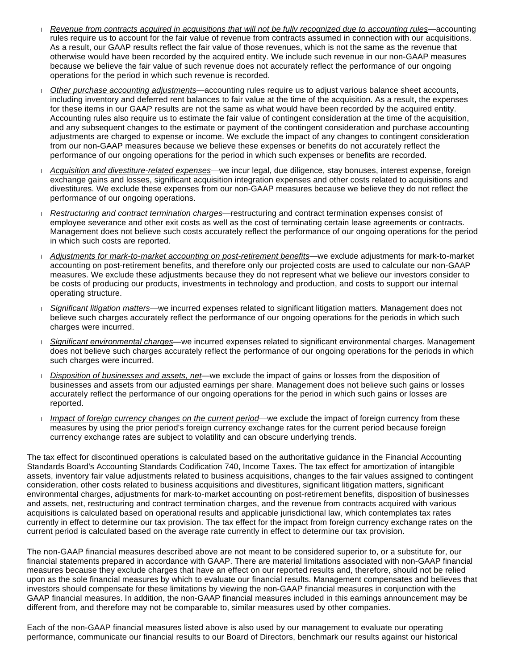- Revenue from contracts acquired in acquisitions that will not be fully recognized due to accounting rules—accounting rules require us to account for the fair value of revenue from contracts assumed in connection with our acquisitions. As a result, our GAAP results reflect the fair value of those revenues, which is not the same as the revenue that otherwise would have been recorded by the acquired entity. We include such revenue in our non-GAAP measures because we believe the fair value of such revenue does not accurately reflect the performance of our ongoing operations for the period in which such revenue is recorded.
- Other purchase accounting adjustments—accounting rules require us to adjust various balance sheet accounts, including inventory and deferred rent balances to fair value at the time of the acquisition. As a result, the expenses for these items in our GAAP results are not the same as what would have been recorded by the acquired entity. Accounting rules also require us to estimate the fair value of contingent consideration at the time of the acquisition, and any subsequent changes to the estimate or payment of the contingent consideration and purchase accounting adjustments are charged to expense or income. We exclude the impact of any changes to contingent consideration from our non-GAAP measures because we believe these expenses or benefits do not accurately reflect the performance of our ongoing operations for the period in which such expenses or benefits are recorded.
- Acquisition and divestiture-related expenses—we incur legal, due diligence, stay bonuses, interest expense, foreign exchange gains and losses, significant acquisition integration expenses and other costs related to acquisitions and divestitures. We exclude these expenses from our non-GAAP measures because we believe they do not reflect the performance of our ongoing operations.
- Restructuring and contract termination charges—restructuring and contract termination expenses consist of employee severance and other exit costs as well as the cost of terminating certain lease agreements or contracts. Management does not believe such costs accurately reflect the performance of our ongoing operations for the period in which such costs are reported.
- Adjustments for mark-to-market accounting on post-retirement benefits—we exclude adjustments for mark-to-market accounting on post-retirement benefits, and therefore only our projected costs are used to calculate our non-GAAP measures. We exclude these adjustments because they do not represent what we believe our investors consider to be costs of producing our products, investments in technology and production, and costs to support our internal operating structure.
- Significant litigation matters—we incurred expenses related to significant litigation matters. Management does not believe such charges accurately reflect the performance of our ongoing operations for the periods in which such charges were incurred.
- Significant environmental charges—we incurred expenses related to significant environmental charges. Management does not believe such charges accurately reflect the performance of our ongoing operations for the periods in which such charges were incurred.
- Disposition of businesses and assets, net—we exclude the impact of gains or losses from the disposition of businesses and assets from our adjusted earnings per share. Management does not believe such gains or losses accurately reflect the performance of our ongoing operations for the period in which such gains or losses are reported.
- Impact of foreign currency changes on the current period—we exclude the impact of foreign currency from these measures by using the prior period's foreign currency exchange rates for the current period because foreign currency exchange rates are subject to volatility and can obscure underlying trends.

The tax effect for discontinued operations is calculated based on the authoritative guidance in the Financial Accounting Standards Board's Accounting Standards Codification 740, Income Taxes. The tax effect for amortization of intangible assets, inventory fair value adjustments related to business acquisitions, changes to the fair values assigned to contingent consideration, other costs related to business acquisitions and divestitures, significant litigation matters, significant environmental charges, adjustments for mark-to-market accounting on post-retirement benefits, disposition of businesses and assets, net, restructuring and contract termination charges, and the revenue from contracts acquired with various acquisitions is calculated based on operational results and applicable jurisdictional law, which contemplates tax rates currently in effect to determine our tax provision. The tax effect for the impact from foreign currency exchange rates on the current period is calculated based on the average rate currently in effect to determine our tax provision.

The non-GAAP financial measures described above are not meant to be considered superior to, or a substitute for, our financial statements prepared in accordance with GAAP. There are material limitations associated with non-GAAP financial measures because they exclude charges that have an effect on our reported results and, therefore, should not be relied upon as the sole financial measures by which to evaluate our financial results. Management compensates and believes that investors should compensate for these limitations by viewing the non-GAAP financial measures in conjunction with the GAAP financial measures. In addition, the non-GAAP financial measures included in this earnings announcement may be different from, and therefore may not be comparable to, similar measures used by other companies.

Each of the non-GAAP financial measures listed above is also used by our management to evaluate our operating performance, communicate our financial results to our Board of Directors, benchmark our results against our historical